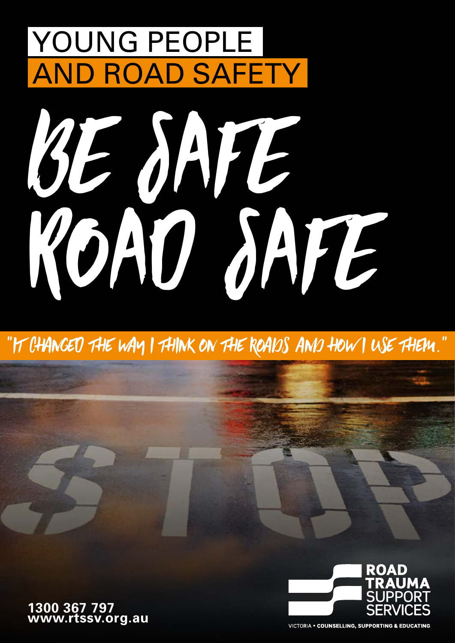# YOUNG PEOPLE AND ROAD SAFETY



"it changeD the way i think on the roads and how i use them."

**1300 367 797 www.rtssv.org.au**



**VICTORIA . COUNSELLING, SUPPORTING & EDUCATING**